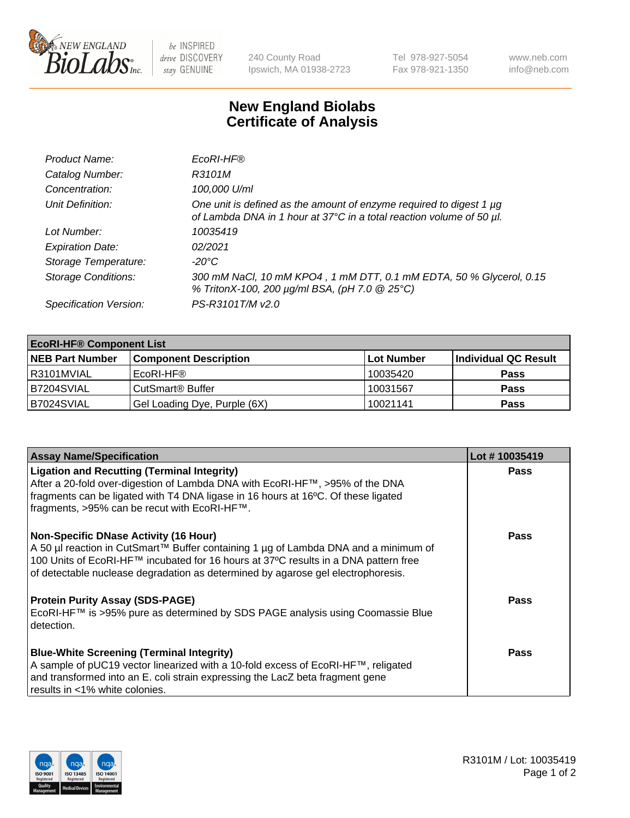

 $be$  INSPIRED drive DISCOVERY stay GENUINE

240 County Road Ipswich, MA 01938-2723 Tel 978-927-5054 Fax 978-921-1350 www.neb.com info@neb.com

## **New England Biolabs Certificate of Analysis**

| Product Name:              | EcoRI-HF®                                                                                                                                   |
|----------------------------|---------------------------------------------------------------------------------------------------------------------------------------------|
| Catalog Number:            | R3101M                                                                                                                                      |
| Concentration:             | 100,000 U/ml                                                                                                                                |
| Unit Definition:           | One unit is defined as the amount of enzyme required to digest 1 µg<br>of Lambda DNA in 1 hour at 37°C in a total reaction volume of 50 µl. |
| Lot Number:                | 10035419                                                                                                                                    |
| <b>Expiration Date:</b>    | 02/2021                                                                                                                                     |
| Storage Temperature:       | -20°C                                                                                                                                       |
| <b>Storage Conditions:</b> | 300 mM NaCl, 10 mM KPO4, 1 mM DTT, 0.1 mM EDTA, 50 % Glycerol, 0.15<br>% TritonX-100, 200 µg/ml BSA, (pH 7.0 @ 25°C)                        |
| Specification Version:     | PS-R3101T/M v2.0                                                                                                                            |

| <b>EcoRI-HF® Component List</b> |                              |            |                      |  |  |
|---------------------------------|------------------------------|------------|----------------------|--|--|
| <b>NEB Part Number</b>          | <b>Component Description</b> | Lot Number | Individual QC Result |  |  |
| I R3101MVIAL                    | EcoRI-HF®                    | 10035420   | <b>Pass</b>          |  |  |
| IB7204SVIAL                     | CutSmart <sup>®</sup> Buffer | 10031567   | <b>Pass</b>          |  |  |
| B7024SVIAL                      | Gel Loading Dye, Purple (6X) | 10021141   | <b>Pass</b>          |  |  |

| <b>Assay Name/Specification</b>                                                                                                                                                                                                                                                                                | Lot #10035419 |
|----------------------------------------------------------------------------------------------------------------------------------------------------------------------------------------------------------------------------------------------------------------------------------------------------------------|---------------|
| <b>Ligation and Recutting (Terminal Integrity)</b><br>After a 20-fold over-digestion of Lambda DNA with EcoRI-HF™, >95% of the DNA<br>fragments can be ligated with T4 DNA ligase in 16 hours at 16°C. Of these ligated<br>fragments, >95% can be recut with EcoRI-HF™.                                        | <b>Pass</b>   |
| <b>Non-Specific DNase Activity (16 Hour)</b><br>A 50 µl reaction in CutSmart™ Buffer containing 1 µg of Lambda DNA and a minimum of<br>100 Units of EcoRI-HF™ incubated for 16 hours at 37°C results in a DNA pattern free<br>of detectable nuclease degradation as determined by agarose gel electrophoresis. | Pass          |
| <b>Protein Purity Assay (SDS-PAGE)</b><br>EcoRI-HF™ is >95% pure as determined by SDS PAGE analysis using Coomassie Blue<br>detection.                                                                                                                                                                         | <b>Pass</b>   |
| <b>Blue-White Screening (Terminal Integrity)</b><br>A sample of pUC19 vector linearized with a 10-fold excess of EcoRI-HF™, religated<br>and transformed into an E. coli strain expressing the LacZ beta fragment gene<br>results in <1% white colonies.                                                       | Pass          |